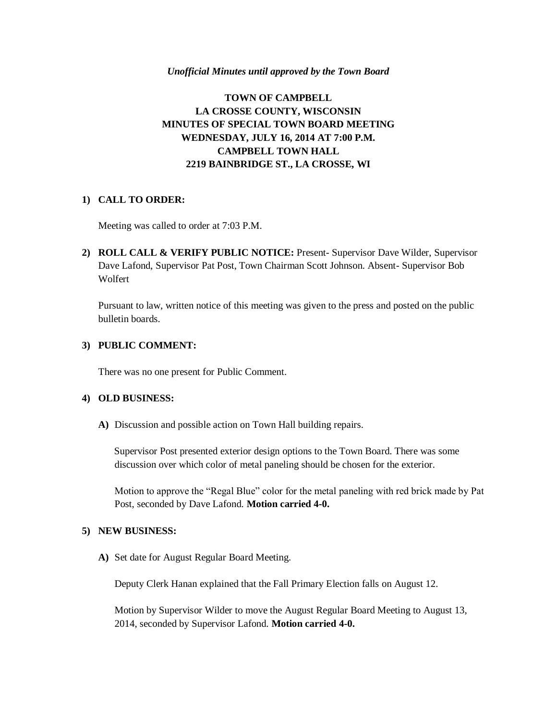## *Unofficial Minutes until approved by the Town Board*

# **TOWN OF CAMPBELL LA CROSSE COUNTY, WISCONSIN MINUTES OF SPECIAL TOWN BOARD MEETING WEDNESDAY, JULY 16, 2014 AT 7:00 P.M. CAMPBELL TOWN HALL 2219 BAINBRIDGE ST., LA CROSSE, WI**

# **1) CALL TO ORDER:**

Meeting was called to order at 7:03 P.M.

**2) ROLL CALL & VERIFY PUBLIC NOTICE:** Present- Supervisor Dave Wilder, Supervisor Dave Lafond, Supervisor Pat Post, Town Chairman Scott Johnson. Absent- Supervisor Bob Wolfert

Pursuant to law, written notice of this meeting was given to the press and posted on the public bulletin boards.

# **3) PUBLIC COMMENT:**

There was no one present for Public Comment.

#### **4) OLD BUSINESS:**

**A)** Discussion and possible action on Town Hall building repairs.

 Supervisor Post presented exterior design options to the Town Board. There was some discussion over which color of metal paneling should be chosen for the exterior.

Motion to approve the "Regal Blue" color for the metal paneling with red brick made by Pat Post, seconded by Dave Lafond. **Motion carried 4-0.** 

### **5) NEW BUSINESS:**

**A)** Set date for August Regular Board Meeting.

Deputy Clerk Hanan explained that the Fall Primary Election falls on August 12.

Motion by Supervisor Wilder to move the August Regular Board Meeting to August 13, 2014, seconded by Supervisor Lafond. **Motion carried 4-0.**